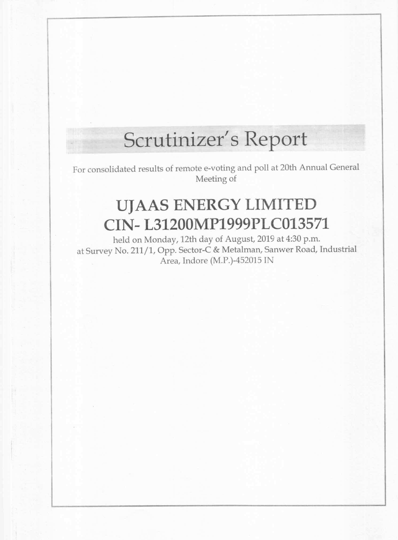# Scrutinizer's Report

For consolidated results of remote e-vofing and poll at 20th Annual General Meeting of

## UJAAS ENERGY LIMITED

# CIN— L31200MP1999PLC013571

held on Monday, 12th day of August, <sup>2019</sup> at 4:30 pm. at Survey N0. 211/1, Opp. Sector-C & Metalman, Sanwer Road, Industrial Area, Indore (M.P.)—452015 lN

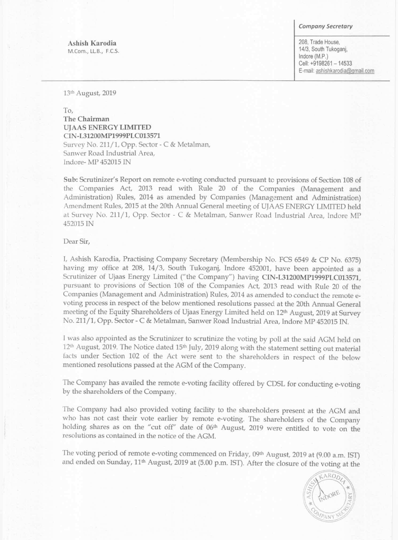#### Company Secretary

Ashish Karodia M.Com., LL.B., F.C.S. 208, Trade House, 14/3, South Tukoganj, Indore (M.P.) Cell: +9198261 — 14533 Email: ashishkarodia@gmail.com

13'h August, 2019

To, The Chairman UJAAS ENERGY LIMITED CIN-L31200MP1999PLC013571 Survey No. 211/1, Opp. Sector -C & Metalman, Sanwer Road Industrial Area, Indore- MP 452015 IN

at Survey No. 211/1, Opp. Sector - C & Metalman, Sanwer Road Industrial Area, Indore MP 452015 IN

I, Ashish Karodia, Practising Company Secretary (Membership No. FCS <sup>6549</sup> & CP No. 6375) having my office at 208, 14/3, South Tukoganj, Indore 452001, have been appointed as <sup>a</sup> Scrutinizer of Ujaas Energy Limited ("the Company") having CIN-L31200MP1999PLC013571, pursuant to provisions of Section <sup>108</sup> of the Companies Act, <sup>2013</sup> read with Rule <sup>20</sup> of the Companies (Management and Administration) Rules, 2014 as amended to conduct the remote evoting process in respect of the below mentioned resolutions passed at the 20th Annual General meeting of the Equity Shareholders of Ujaas Energy Limited held on 12m August, <sup>2019</sup> at Survey No. 211/1, Opp. Sector - C & Metalman, Sanwer Road Industrial Area, Indore MP 452015 IN.

Sub: Scrutinizer's Report on remote e-voting conducted pursuant to provisions of Section <sup>108</sup> of the Companies Act, <sup>2013</sup> read with Rule <sup>20</sup> of the Companies (Management and Administration) Rules, <sup>2014</sup> as amended by Companies (Management and Administration) Amendment Rules, <sup>2015</sup> at the 20th Annual General meeting of UIAAS ENERGY LIMITED held

### Dear Sir,

The Company has availed the remote e-voting facility offered by CDSL for conducting e-voting by the shareholders of the Company.

<sup>I</sup> was also appointed as the Scrutinizer to scrutinize the voting by poll at the said AGM held on 12<sup>th</sup> August, 2019. The Notice dated 15<sup>th</sup> July, 2019 along with the statement setting out material facts under Section <sup>102</sup> of the Act were sent to the shareholders in respect of the below mentioned resolutions passed at the AGM of the Company.

The Company had also provided voting facility to the shareholders present at the AGM and who has not cast their vote earlier by remote e-voting. The shareholders of the Company holding shares as on the "cut off" date of 06<sup>th</sup> August, 2019 were entitled to vote on the resolutions as contained in the notice of the AGM.

The voting period of remote e-voting commenced on Friday, 09<sup>th</sup> August, 2019 at (9.00 a.m. IST) and ended on Sunday, 11<sup>th</sup> August, 2019 at (5.00 p.m. IST). After the closure of the voting at the

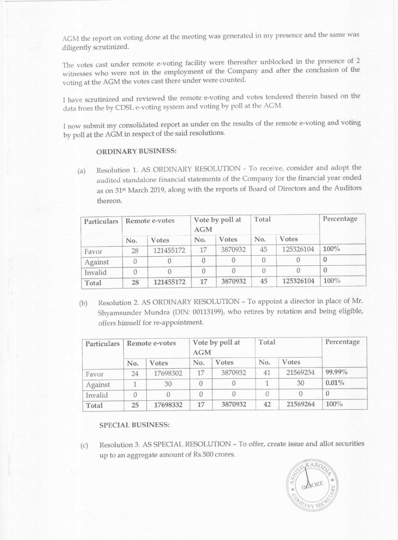AGM the report on voting done at the meeting was generated in my presence and the same was diligently scrutinized.

The votes cast under remote e-voting facility were thereafter unblocked in the presence of 2 witnesses who were not in the employment of the Company and after the conclusion of the voting at the AGM the votes cast there under were counted.

I now submit my consolidated report as under on the results of the remote e-voting and voting by poll at the AGM in respect of the said resolutions.

<sup>1</sup> have scrutinized and reviewed the remote e-voting and votes tendered therein based on the data from the by CDSL e-voting system and voting by p01] at the AGM.

(b) Resolution 2. AS ORDINARY RESOLUTION - To appoint <sup>a</sup> director in place of Mr. Shyamsunder Mundra (DIN: 00113199), who retires by rotation and being eligible, offers himself for re-appointment.

### ORDINARY BUSINESS:

(a)' Resolution 1. AS ORDINARY RESOLUTION — To receive, consider and adopt the audited standalone financial statements of the Company for the financial year ended as on 31<sup>st</sup> March 2019, along with the reports of Board of Directors and the Auditors thereon.

| Particulars | Remote e-votes |           | Vote by poll at<br><b>AGM</b> |         | Total |           | Percentage |
|-------------|----------------|-----------|-------------------------------|---------|-------|-----------|------------|
|             | No.            | Votes     | No.                           | Votes   | No.   | Votes     |            |
| Favor       | 28             | 121455172 | 17                            | 3870932 | 45    | 125326104 | $100\%$    |
| Against     |                |           |                               |         |       |           |            |
| Invalid     | 0              |           |                               |         |       |           |            |
| Total       | 28             | 121455172 | 17                            | 3870932 | 45    | 125326104 | $100\%$    |

| Particulars | Remote e-votes |              | Vote by poll at<br><b>AGM</b> |              | Total |          | Percentage |
|-------------|----------------|--------------|-------------------------------|--------------|-------|----------|------------|
|             | No.            | <b>Votes</b> | No.                           | <b>Votes</b> | No.   | Votes    |            |
| Favor       | 24             | 17698302     | 17                            | 3870932      | 41    | 21569234 | 99.99%     |
| Against     |                | 30           |                               |              |       | 30       | $0.01\%$   |
| Invalid     |                |              |                               |              | 0     |          |            |
| Total       | 25             | 17698332     | 17                            | 3870932      | 42    | 21569264 | $100\%$    |

SPECIAL BUSINESS:

(c) Resolution 3. AS SPECIAL RESOLUTION — To offer, create issue and allot securities up to an aggregate amount of Rs.500 crores,